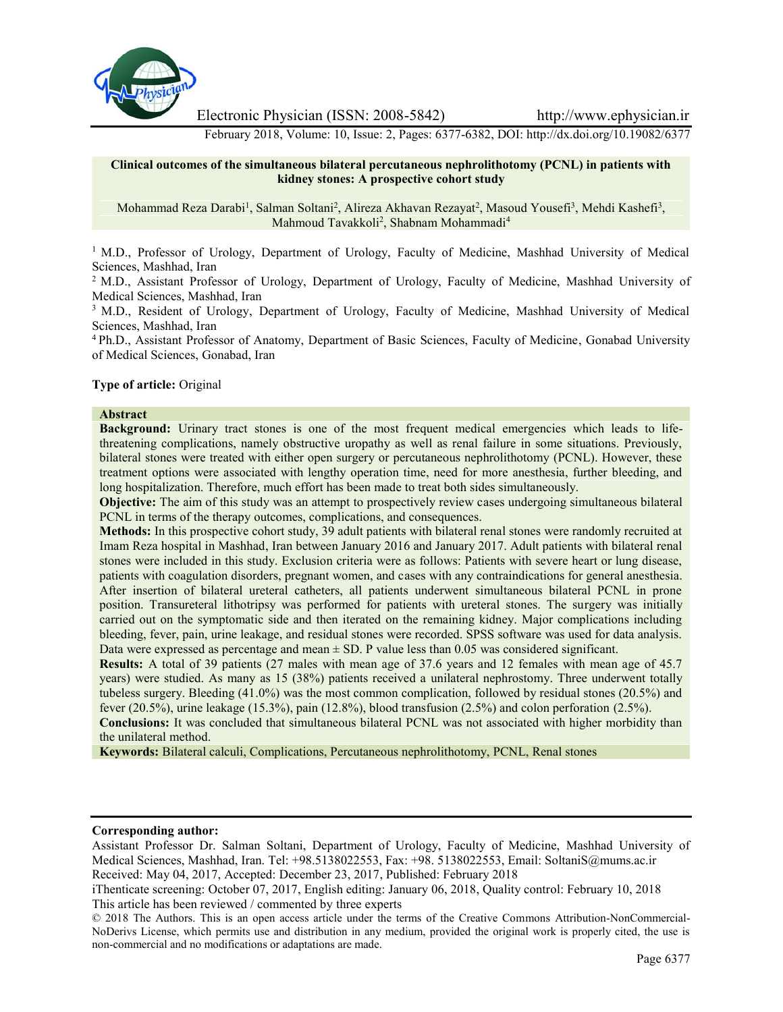

Electronic Physician (ISSN: 2008-5842) http://www.ephysician.ir

February 2018, Volume: 10, Issue: 2, Pages: 6377-6382, DOI: http://dx.doi.org/10.19082/6377

#### **Clinical outcomes of the simultaneous bilateral percutaneous nephrolithotomy (PCNL) in patients with kidney stones: A prospective cohort study**

Mohammad Reza Darabi<sup>1</sup>, Salman Soltani<sup>2</sup>, Alireza Akhavan Rezayat<sup>2</sup>, Masoud Yousefi<sup>3</sup>, Mehdi Kashefi<sup>3</sup>, Mahmoud Tavakkoli<sup>2</sup> , Shabnam Mohammadi<sup>4</sup>

<sup>1</sup> M.D., Professor of Urology, Department of Urology, Faculty of Medicine, Mashhad University of Medical Sciences, Mashhad, Iran

<sup>2</sup> M.D., Assistant Professor of Urology, Department of Urology, Faculty of Medicine, Mashhad University of Medical Sciences, Mashhad, Iran

<sup>3</sup> M.D., Resident of Urology, Department of Urology, Faculty of Medicine, Mashhad University of Medical Sciences, Mashhad, Iran

<sup>4</sup> Ph.D., Assistant Professor of Anatomy, Department of Basic Sciences, Faculty of Medicine, Gonabad University of Medical Sciences, Gonabad, Iran

**Type of article:** Original

#### **Abstract**

**Background:** Urinary tract stones is one of the most frequent medical emergencies which leads to lifethreatening complications, namely obstructive uropathy as well as renal failure in some situations. Previously, bilateral stones were treated with either open surgery or percutaneous nephrolithotomy (PCNL). However, these treatment options were associated with lengthy operation time, need for more anesthesia, further bleeding, and long hospitalization. Therefore, much effort has been made to treat both sides simultaneously.

**Objective:** The aim of this study was an attempt to prospectively review cases undergoing simultaneous bilateral PCNL in terms of the therapy outcomes, complications, and consequences.

**Methods:** In this prospective cohort study, 39 adult patients with bilateral renal stones were randomly recruited at Imam Reza hospital in Mashhad, Iran between January 2016 and January 2017. Adult patients with bilateral renal stones were included in this study. Exclusion criteria were as follows: Patients with severe heart or lung disease, patients with coagulation disorders, pregnant women, and cases with any contraindications for general anesthesia. After insertion of bilateral ureteral catheters, all patients underwent simultaneous bilateral PCNL in prone position. Transureteral lithotripsy was performed for patients with ureteral stones. The surgery was initially carried out on the symptomatic side and then iterated on the remaining kidney. Major complications including bleeding, fever, pain, urine leakage, and residual stones were recorded. SPSS software was used for data analysis. Data were expressed as percentage and mean  $\pm$  SD. P value less than 0.05 was considered significant.

**Results:** A total of 39 patients (27 males with mean age of 37.6 years and 12 females with mean age of 45.7 years) were studied. As many as 15 (38%) patients received a unilateral nephrostomy. Three underwent totally tubeless surgery. Bleeding (41.0%) was the most common complication, followed by residual stones (20.5%) and fever (20.5%), urine leakage (15.3%), pain (12.8%), blood transfusion (2.5%) and colon perforation (2.5%).

**Conclusions:** It was concluded that simultaneous bilateral PCNL was not associated with higher morbidity than the unilateral method.

**Keywords:** Bilateral calculi, Complications, Percutaneous nephrolithotomy, PCNL, Renal stones

**Corresponding author:**

Assistant Professor Dr. Salman Soltani, Department of Urology, Faculty of Medicine, Mashhad University of Medical Sciences, Mashhad, Iran. Tel: +98.5138022553, Fax: +98. 5138022553, Email: SoltaniS@mums.ac.ir Received: May 04, 2017, Accepted: December 23, 2017, Published: February 2018

iThenticate screening: October 07, 2017, English editing: January 06, 2018, Quality control: February 10, 2018 This article has been reviewed / commented by three experts

<sup>© 2018</sup> The Authors. This is an open access article under the terms of the Creative Commons Attribution-NonCommercial- NoDerivs License, which permits use and distribution in any medium, provided the original work is properly cited, the use is non-commercial and no modifications or adaptations are made.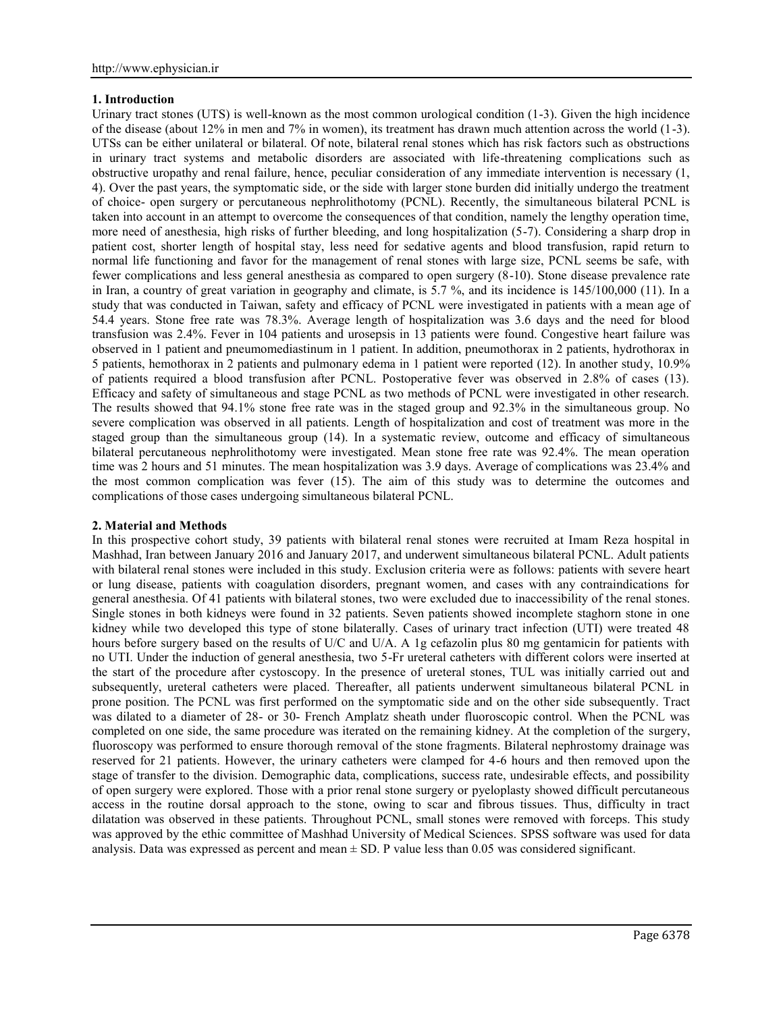## **1. Introduction**

Urinary tract stones (UTS) is well-known as the most common urological condition (1-3). Given the high incidence of the disease (about 12% in men and 7% in women), its treatment has drawn much attention across the world (1-3). UTSs can be either unilateral or bilateral. Of note, bilateral renal stones which has risk factors such as obstructions in urinary tract systems and metabolic disorders are associated with life-threatening complications such as obstructive uropathy and renal failure, hence, peculiar consideration of any immediate intervention is necessary (1, 4). Over the past years, the symptomatic side, or the side with larger stone burden did initially undergo the treatment of choice- open surgery or percutaneous nephrolithotomy (PCNL). Recently, the simultaneous bilateral PCNL is taken into account in an attempt to overcome the consequences of that condition, namely the lengthy operation time, more need of anesthesia, high risks of further bleeding, and long hospitalization (5-7). Considering a sharp drop in patient cost, shorter length of hospital stay, less need for sedative agents and blood transfusion, rapid return to normal life functioning and favor for the management of renal stones with large size, PCNL seems be safe, with fewer complications and less general anesthesia as compared to open surgery (8-10). Stone disease prevalence rate in Iran, a country of great variation in geography and climate, is  $5.7\%$ , and its incidence is  $145/100,000$  (11). In a study that was conducted in Taiwan, safety and efficacy of PCNL were investigated in patients with a mean age of 54.4 years. Stone free rate was 78.3%. Average length of hospitalization was 3.6 days and the need for blood transfusion was 2.4%. Fever in 104 patients and urosepsis in 13 patients were found. Congestive heart failure was observed in 1 patient and pneumomediastinum in 1 patient. In addition, pneumothorax in 2 patients, hydrothorax in 5 patients, hemothorax in 2 patients and pulmonary edema in 1 patient were reported (12). In another study, 10.9% of patients required a blood transfusion after PCNL. Postoperative fever was observed in 2.8% of cases (13). Efficacy and safety of simultaneous and stage PCNL as two methods of PCNL were investigated in other research. The results showed that 94.1% stone free rate was in the staged group and 92.3% in the simultaneous group. No severe complication was observed in all patients. Length of hospitalization and cost of treatment was more in the staged group than the simultaneous group (14). In a systematic review, outcome and efficacy of simultaneous bilateral percutaneous nephrolithotomy were investigated. Mean stone free rate was 92.4%. The mean operation time was 2 hours and 51 minutes. The mean hospitalization was 3.9 days. Average of complications was 23.4% and the most common complication was fever (15). The aim of this study was to determine the outcomes and complications of those cases undergoing simultaneous bilateral PCNL.

## **2. Material and Methods**

In this prospective cohort study, 39 patients with bilateral renal stones were recruited at Imam Reza hospital in Mashhad, Iran between January 2016 and January 2017, and underwent simultaneous bilateral PCNL. Adult patients with bilateral renal stones were included in this study. Exclusion criteria were as follows: patients with severe heart or lung disease, patients with coagulation disorders, pregnant women, and cases with any contraindications for general anesthesia. Of 41 patients with bilateral stones, two were excluded due to inaccessibility of the renal stones. Single stones in both kidneys were found in 32 patients. Seven patients showed incomplete staghorn stone in one kidney while two developed this type of stone bilaterally. Cases of urinary tract infection (UTI) were treated 48 hours before surgery based on the results of U/C and U/A. A 1g cefazolin plus 80 mg gentamicin for patients with no UTI. Under the induction of general anesthesia, two 5-Fr ureteral catheters with different colors were inserted at the start of the procedure after cystoscopy. In the presence of ureteral stones, TUL was initially carried out and subsequently, ureteral catheters were placed. Thereafter, all patients underwent simultaneous bilateral PCNL in prone position. The PCNL was first performed on the symptomatic side and on the other side subsequently. Tract was dilated to a diameter of 28- or 30- French Amplatz sheath under fluoroscopic control. When the PCNL was completed on one side, the same procedure was iterated on the remaining kidney. At the completion of the surgery, fluoroscopy was performed to ensure thorough removal of the stone fragments. Bilateral nephrostomy drainage was reserved for 21 patients. However, the urinary catheters were clamped for 4-6 hours and then removed upon the stage of transfer to the division. Demographic data, complications, success rate, undesirable effects, and possibility of open surgery were explored. Those with a prior renal stone surgery or pyeloplasty showed difficult percutaneous access in the routine dorsal approach to the stone, owing to scar and fibrous tissues. Thus, difficulty in tract dilatation was observed in these patients. Throughout PCNL, small stones were removed with forceps. This study was approved by the ethic committee of Mashhad University of Medical Sciences. SPSS software was used for data analysis. Data was expressed as percent and mean  $\pm$  SD. P value less than 0.05 was considered significant.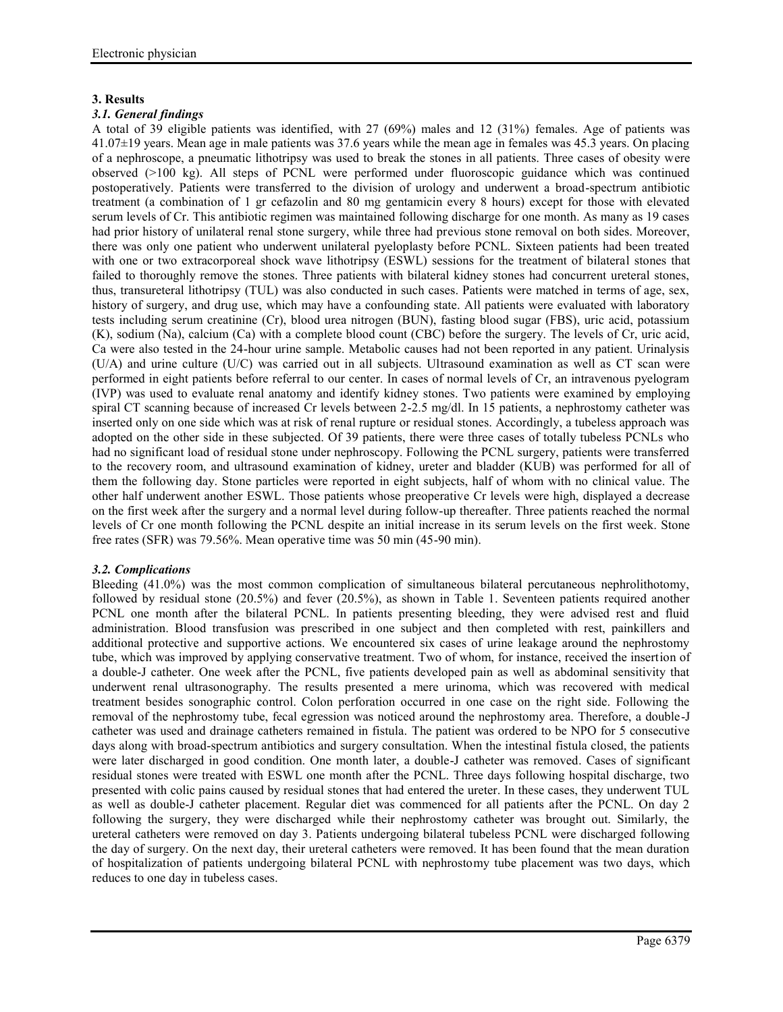## **3. Results**

## *3.1. General findings*

A total of 39 eligible patients was identified, with 27 (69%) males and 12 (31%) females. Age of patients was 41.07±19 years. Mean age in male patients was 37.6 years while the mean age in females was 45.3 years. On placing of a nephroscope, a pneumatic lithotripsy was used to break the stones in all patients. Three cases of obesity were observed (>100 kg). All steps of PCNL were performed under fluoroscopic guidance which was continued postoperatively. Patients were transferred to the division of urology and underwent a broad-spectrum antibiotic treatment (a combination of 1 gr cefazolin and 80 mg gentamicin every 8 hours) except for those with elevated serum levels of Cr. This antibiotic regimen was maintained following discharge for one month. As many as 19 cases had prior history of unilateral renal stone surgery, while three had previous stone removal on both sides. Moreover, there was only one patient who underwent unilateral pyeloplasty before PCNL. Sixteen patients had been treated with one or two extracorporeal shock wave lithotripsy (ESWL) sessions for the treatment of bilateral stones that failed to thoroughly remove the stones. Three patients with bilateral kidney stones had concurrent ureteral stones, thus, transureteral lithotripsy (TUL) was also conducted in such cases. Patients were matched in terms of age, sex, history of surgery, and drug use, which may have a confounding state. All patients were evaluated with laboratory tests including serum creatinine (Cr), blood urea nitrogen (BUN), fasting blood sugar (FBS), uric acid, potassium (K), sodium (Na), calcium (Ca) with a complete blood count (CBC) before the surgery. The levels of Cr, uric acid, Ca were also tested in the 24-hour urine sample. Metabolic causes had not been reported in any patient. Urinalysis (U/A) and urine culture (U/C) was carried out in all subjects. Ultrasound examination as well as CT scan were performed in eight patients before referral to our center. In cases of normal levels of Cr, an intravenous pyelogram (IVP) was used to evaluate renal anatomy and identify kidney stones. Two patients were examined by employing spiral CT scanning because of increased Cr levels between 2-2.5 mg/dl. In 15 patients, a nephrostomy catheter was inserted only on one side which was at risk of renal rupture or residual stones. Accordingly, a tubeless approach was adopted on the other side in these subjected. Of 39 patients, there were three cases of totally tubeless PCNLs who had no significant load of residual stone under nephroscopy. Following the PCNL surgery, patients were transferred to the recovery room, and ultrasound examination of kidney, ureter and bladder (KUB) was performed for all of them the following day. Stone particles were reported in eight subjects, half of whom with no clinical value. The other half underwent another ESWL. Those patients whose preoperative Cr levels were high, displayed a decrease on the first week after the surgery and a normal level during follow-up thereafter. Three patients reached the normal levels of Cr one month following the PCNL despite an initial increase in its serum levels on the first week. Stone free rates (SFR) was 79.56%. Mean operative time was 50 min (45-90 min).

# *3.2. Complications*

Bleeding (41.0%) was the most common complication of simultaneous bilateral percutaneous nephrolithotomy, followed by residual stone (20.5%) and fever (20.5%), as shown in Table 1. Seventeen patients required another PCNL one month after the bilateral PCNL. In patients presenting bleeding, they were advised rest and fluid administration. Blood transfusion was prescribed in one subject and then completed with rest, painkillers and additional protective and supportive actions. We encountered six cases of urine leakage around the nephrostomy tube, which was improved by applying conservative treatment. Two of whom, for instance, received the insertion of a double-J catheter. One week after the PCNL, five patients developed pain as well as abdominal sensitivity that underwent renal ultrasonography. The results presented a mere urinoma, which was recovered with medical treatment besides sonographic control. Colon perforation occurred in one case on the right side. Following the removal of the nephrostomy tube, fecal egression was noticed around the nephrostomy area. Therefore, a double-J catheter was used and drainage catheters remained in fistula. The patient was ordered to be NPO for 5 consecutive days along with broad-spectrum antibiotics and surgery consultation. When the intestinal fistula closed, the patients were later discharged in good condition. One month later, a double-J catheter was removed. Cases of significant residual stones were treated with ESWL one month after the PCNL. Three days following hospital discharge, two presented with colic pains caused by residual stones that had entered the ureter. In these cases, they underwent TUL as well as double-J catheter placement. Regular diet was commenced for all patients after the PCNL. On day 2 following the surgery, they were discharged while their nephrostomy catheter was brought out. Similarly, the ureteral catheters were removed on day 3. Patients undergoing bilateral tubeless PCNL were discharged following the day of surgery. On the next day, their ureteral catheters were removed. It has been found that the mean duration of hospitalization of patients undergoing bilateral PCNL with nephrostomy tube placement was two days, which reduces to one day in tubeless cases.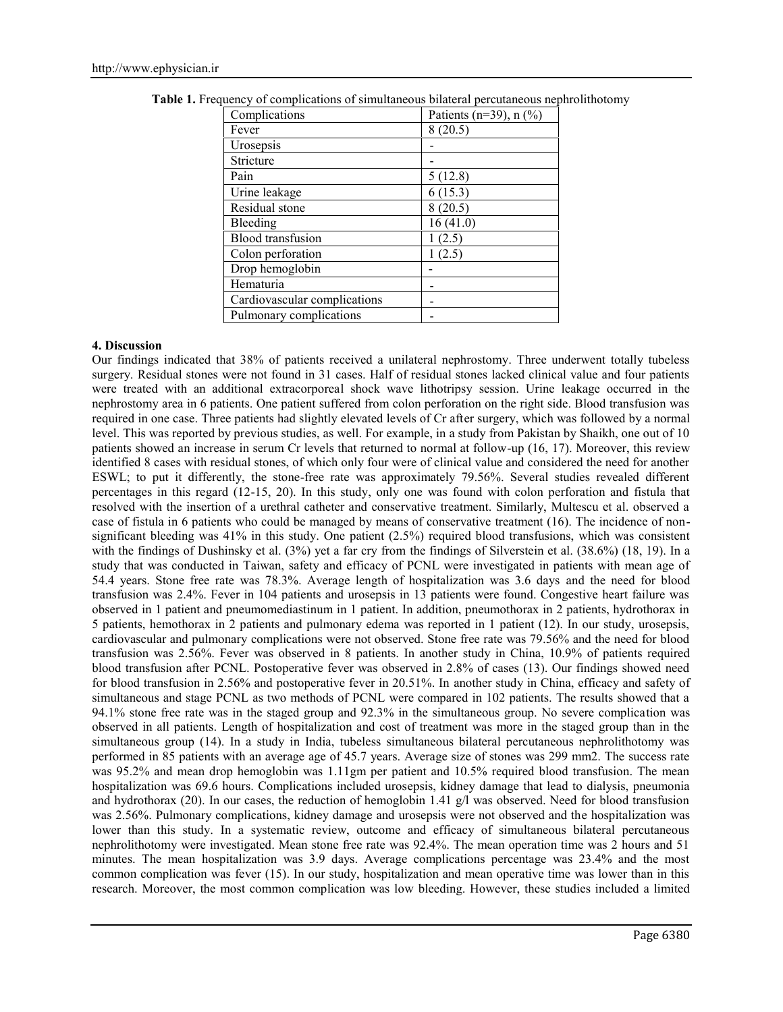| Complications                | Patients (n=39), $n$ (%) |
|------------------------------|--------------------------|
| Fever                        | 8(20.5)                  |
| Urosepsis                    |                          |
| Stricture                    |                          |
| Pain                         | 5(12.8)                  |
| Urine leakage                | 6(15.3)                  |
| Residual stone               | 8(20.5)                  |
| Bleeding                     | 16(41.0)                 |
| <b>Blood</b> transfusion     | 1(2.5)                   |
| Colon perforation            | 1(2.5)                   |
| Drop hemoglobin              |                          |
| Hematuria                    |                          |
| Cardiovascular complications |                          |
| Pulmonary complications      |                          |

**Table 1.** Frequency of complications of simultaneous bilateral percutaneous nephrolithotomy

#### **4. Discussion**

Our findings indicated that 38% of patients received a unilateral nephrostomy. Three underwent totally tubeless surgery. Residual stones were not found in 31 cases. Half of residual stones lacked clinical value and four patients were treated with an additional extracorporeal shock wave lithotripsy session. Urine leakage occurred in the nephrostomy area in 6 patients. One patient suffered from colon perforation on the right side. Blood transfusion was required in one case. Three patients had slightly elevated levels of Cr after surgery, which was followed by a normal level. This was reported by previous studies, as well. For example, in a study from Pakistan by Shaikh, one out of 10 patients showed an increase in serum Cr levels that returned to normal at follow-up (16, 17). Moreover, this review identified 8 cases with residual stones, of which only four were of clinical value and considered the need for another ESWL; to put it differently, the stone-free rate was approximately 79.56%. Several studies revealed different percentages in this regard (12-15, 20). In this study, only one was found with colon perforation and fistula that resolved with the insertion of a urethral catheter and conservative treatment. Similarly, Multescu et al. observed a case of fistula in 6 patients who could be managed by means of conservative treatment (16). The incidence of non significant bleeding was  $41\%$  in this study. One patient (2.5%) required blood transfusions, which was consistent with the findings of Dushinsky et al. (3%) yet a far cry from the findings of Silverstein et al. (38.6%) (18, 19). In a study that was conducted in Taiwan, safety and efficacy of PCNL were investigated in patients with mean age of 54.4 years. Stone free rate was 78.3%. Average length of hospitalization was 3.6 days and the need for blood transfusion was 2.4%. Fever in 104 patients and urosepsis in 13 patients were found. Congestive heart failure was observed in 1 patient and pneumomediastinum in 1 patient. In addition, pneumothorax in 2 patients, hydrothorax in 5 patients, hemothorax in 2 patients and pulmonary edema was reported in 1 patient (12). In our study, urosepsis, cardiovascular and pulmonary complications were not observed. Stone free rate was 79.56% and the need for blood transfusion was 2.56%. Fever was observed in 8 patients. In another study in China, 10.9% of patients required blood transfusion after PCNL. Postoperative fever was observed in 2.8% of cases (13). Our findings showed need for blood transfusion in 2.56% and postoperative fever in 20.51%. In another study in China, efficacy and safety of simultaneous and stage PCNL as two methods of PCNL were compared in 102 patients. The results showed that a 94.1% stone free rate was in the staged group and 92.3% in the simultaneous group. No severe complication was observed in all patients. Length of hospitalization and cost of treatment was more in the staged group than in the simultaneous group (14). In a study in India, tubeless simultaneous bilateral percutaneous nephrolithotomy was performed in 85 patients with an average age of 45.7 years. Average size of stones was 299 mm2. The success rate was 95.2% and mean drop hemoglobin was 1.11gm per patient and 10.5% required blood transfusion. The mean hospitalization was 69.6 hours. Complications included urosepsis, kidney damage that lead to dialysis, pneumonia and hydrothorax (20). In our cases, the reduction of hemoglobin 1.41 g/l was observed. Need for blood transfusion was 2.56%. Pulmonary complications, kidney damage and urosepsis were not observed and the hospitalization was lower than this study. In a systematic review, outcome and efficacy of simultaneous bilateral percutaneous nephrolithotomy were investigated. Mean stone free rate was 92.4%. The mean operation time was 2 hours and 51 minutes. The mean hospitalization was 3.9 days. Average complications percentage was 23.4% and the most common complication was fever (15). In our study, hospitalization and mean operative time was lower than in this research. Moreover, the most common complication was low bleeding. However, these studies included a limited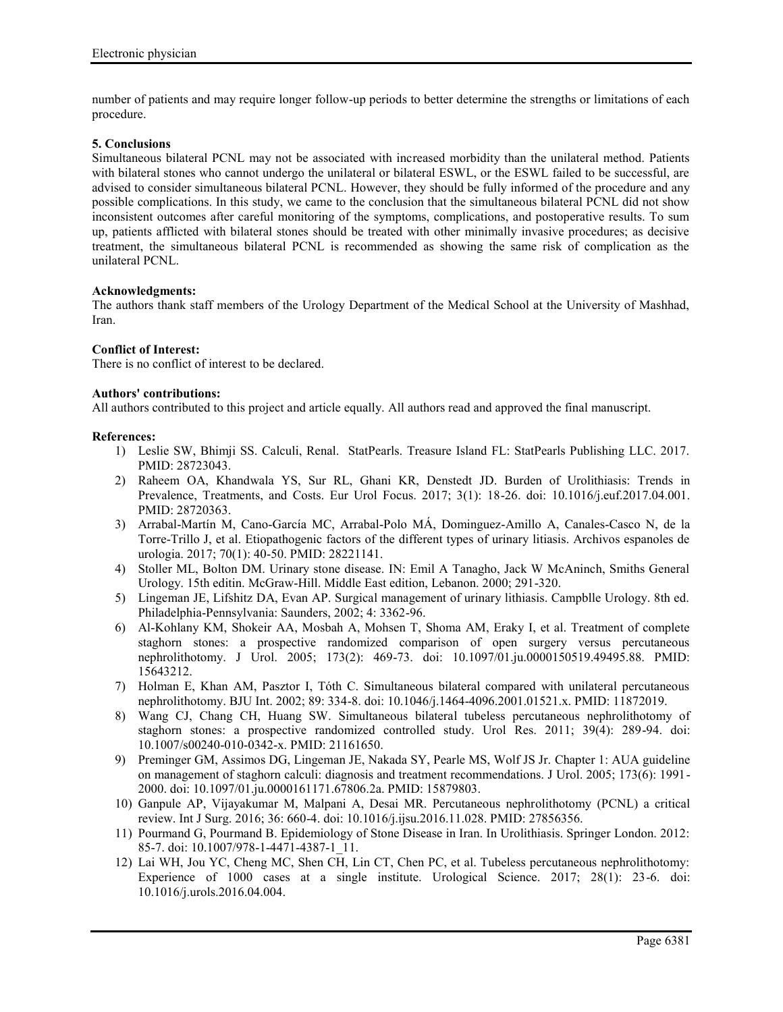number of patients and may require longer follow-up periods to better determine the strengths or limitations of each procedure.

### **5. Conclusions**

Simultaneous bilateral PCNL may not be associated with increased morbidity than the unilateral method. Patients with bilateral stones who cannot undergo the unilateral or bilateral ESWL, or the ESWL failed to be successful, are advised to consider simultaneous bilateral PCNL. However, they should be fully informed of the procedure and any possible complications. In this study, we came to the conclusion that the simultaneous bilateral PCNL did not show inconsistent outcomes after careful monitoring of the symptoms, complications, and postoperative results. To sum up, patients afflicted with bilateral stones should be treated with other minimally invasive procedures; as decisive treatment, the simultaneous bilateral PCNL is recommended as showing the same risk of complication as the unilateral PCNL.

#### **Acknowledgments:**

The authors thank staff members of the Urology Department of the Medical School at the University of Mashhad, Iran.

#### **Conflict of Interest:**

There is no conflict of interest to be declared.

#### **Authors' contributions:**

All authors contributed to this project and article equally. All authors read and approved the final manuscript.

#### **References:**

- 1) Leslie SW, Bhimji SS. Calculi, Renal. StatPearls. Treasure Island FL: StatPearls Publishing LLC. 2017. PMID: 28723043.
- 2) Raheem OA, Khandwala YS, Sur RL, Ghani KR, Denstedt JD. Burden of Urolithiasis: Trends in Prevalence, Treatments, and Costs. Eur Urol Focus. 2017; 3(1): 18-26. doi: 10.1016/j.euf.2017.04.001. PMID: 28720363.
- 3) Arrabal-Martín M, Cano-García MC, Arrabal-Polo MÁ, Dominguez-Amillo A, Canales-Casco N, de la Torre-Trillo J, et al. Etiopathogenic factors of the different types of urinary litiasis. Archivos espanoles de urologia. 2017; 70(1): 40-50. PMID: 28221141.
- 4) Stoller ML, Bolton DM. Urinary stone disease. IN: Emil A Tanagho, Jack W McAninch, Smiths General Urology. 15th editin. McGraw-Hill. Middle East edition, Lebanon. 2000; 291-320.
- 5) Lingeman JE, Lifshitz DA, Evan AP. Surgical management of urinary lithiasis. Campblle Urology. 8th ed. Philadelphia-Pennsylvania: Saunders, 2002; 4: 3362-96.
- 6) Al-Kohlany KM, Shokeir AA, Mosbah A, Mohsen T, Shoma AM, Eraky I, et al. Treatment of complete staghorn stones: a prospective randomized comparison of open surgery versus percutaneous nephrolithotomy. J Urol. 2005; 173(2): 469-73. doi: 10.1097/01.ju.0000150519.49495.88. PMID: 15643212.
- 7) Holman E, Khan AM, Pasztor I, Tóth C. Simultaneous bilateral compared with unilateral percutaneous nephrolithotomy. BJU Int. 2002; 89: 334-8. doi: 10.1046/j.1464-4096.2001.01521.x. PMID: 11872019.
- 8) Wang CJ, Chang CH, Huang SW. Simultaneous bilateral tubeless percutaneous nephrolithotomy of staghorn stones: a prospective randomized controlled study. Urol Res. 2011; 39(4): 289-94. doi: 10.1007/s00240-010-0342-x. PMID: 21161650.
- 9) Preminger GM, Assimos DG, Lingeman JE, Nakada SY, Pearle MS, Wolf JS Jr. Chapter 1: AUA guideline on management of staghorn calculi: diagnosis and treatment recommendations. J Urol. 2005; 173(6): 1991- 2000. doi: 10.1097/01.ju.0000161171.67806.2a. PMID: 15879803.
- 10) Ganpule AP, Vijayakumar M, Malpani A, Desai MR. Percutaneous nephrolithotomy (PCNL) a critical review. Int J Surg. 2016; 36: 660-4. doi: 10.1016/j.ijsu.2016.11.028. PMID: 27856356.
- 11) Pourmand G, Pourmand B. Epidemiology of Stone Disease in Iran. In Urolithiasis. Springer London. 2012: 85-7. doi: 10.1007/978-1-4471-4387-1\_11.
- 12) Lai WH, Jou YC, Cheng MC, Shen CH, Lin CT, Chen PC, et al. Tubeless percutaneous nephrolithotomy: Experience of 1000 cases at a single institute. Urological Science. 2017; 28(1): 23-6. doi: 10.1016/j.urols.2016.04.004.